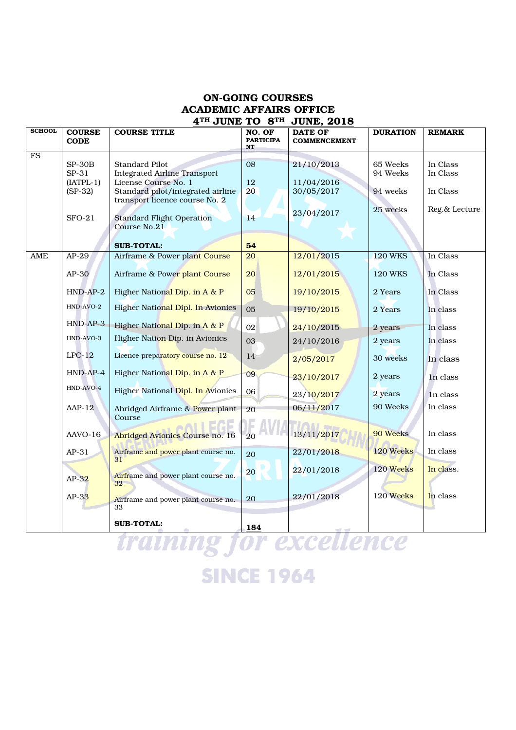## ON-GOING COURSES ACADEMIC AFFAIRS OFFICE 4TH JUNE TO 8TH JUNE, 2018

| <b>SCHOOL</b> | <b>COURSE</b>        | <b>COURSE TITLE</b>                                         | NO. OF                 | <b>DATE OF</b>      | <b>DURATION</b> | <b>REMARK</b> |
|---------------|----------------------|-------------------------------------------------------------|------------------------|---------------------|-----------------|---------------|
|               | <b>CODE</b>          |                                                             | <b>PARTICIPA</b><br>NT | <b>COMMENCEMENT</b> |                 |               |
| <b>FS</b>     |                      |                                                             |                        |                     |                 |               |
|               | $SP-30B$             | Standard Pilot                                              | 08                     | 21/10/2013          | 65 Weeks        | In Class      |
|               | SP-31<br>$[IATPL-1]$ | <b>Integrated Airline Transport</b><br>License Course No. 1 | 12                     | 11/04/2016          | 94 Weeks        | In Class      |
|               | $(SP-32)$            | Standard pilot/integrated airline                           | 20                     | 30/05/2017          | 94 weeks        | In Class      |
|               |                      | transport licence course No. 2                              |                        |                     |                 |               |
|               |                      |                                                             |                        | 23/04/2017          | 25 weeks        | Reg.& Lecture |
|               | $SFO-21$             | <b>Standard Flight Operation</b><br>Course No.21            | 14                     |                     |                 |               |
|               |                      |                                                             |                        |                     |                 |               |
|               |                      | <b>SUB-TOTAL:</b>                                           | 54                     |                     |                 |               |
| AME           | $AP-29$              | Airframe & Power plant Course                               | 20                     | 12/01/2015          | <b>120 WKS</b>  | In Class      |
|               | $AP-30$              | Airframe & Power plant Course                               | 20                     | 12/01/2015          | <b>120 WKS</b>  | In Class      |
|               | $HND-AP-2$           | Higher National Dip. in A & P                               | 05                     | 19/10/2015          | 2 Years         | In Class      |
|               | HND-AVO-2            | Higher National Dipl. In Avionics                           | 05                     | 19/10/2015          | 2 Years         | In class      |
|               | $HND-AP-3$           | Higher National Dip. in A & P                               | 02                     | 24/10/2015          | 2 years         | In class      |
|               | HND-AVO-3            | Higher Nation Dip. in Avionics                              | 03                     | 24/10/2016          | 2 years         | In class      |
|               | $LPC-12$             | Licence preparatory course no. 12                           | 14                     | 2/05/2017           | 30 weeks        | In class      |
|               | $HND-AP-4$           | Higher National Dip. in A & P                               | 09                     | 23/10/2017          | 2 years         | In class      |
|               | HND-AVO-4            | Higher National Dipl. In Avionics                           | 06                     | 23/10/2017          | 2 years         | In class      |
|               | $AP-12$              | Abridged Airframe & Power plant                             | 20                     | 06/11/2017          | 90 Weeks        | In class      |
|               |                      | Course                                                      |                        |                     |                 |               |
|               | AAVO-16              | Abridged Avionics Course no. 16                             | 20                     | 13/11/2017          | 90 Weeks        | In class      |
|               | $AP-31$              | Airframe and power plant course no.<br>31                   | 20                     | 22/01/2018          | 120 Weeks       | In class      |
|               | $AP-32$              | Airframe and power plant course no.<br>32                   | <b>20</b>              | 22/01/2018          | 120 Weeks       | In class.     |
|               | $AP-33$              | Airframe and power plant course no.<br>33                   | 20                     | 22/01/2018          | 120 Weeks       | In class      |
|               |                      | <b>SUB-TOTAL:</b>                                           | <b>184</b>             | - -                 |                 |               |

training for excellence **SINCE 1964**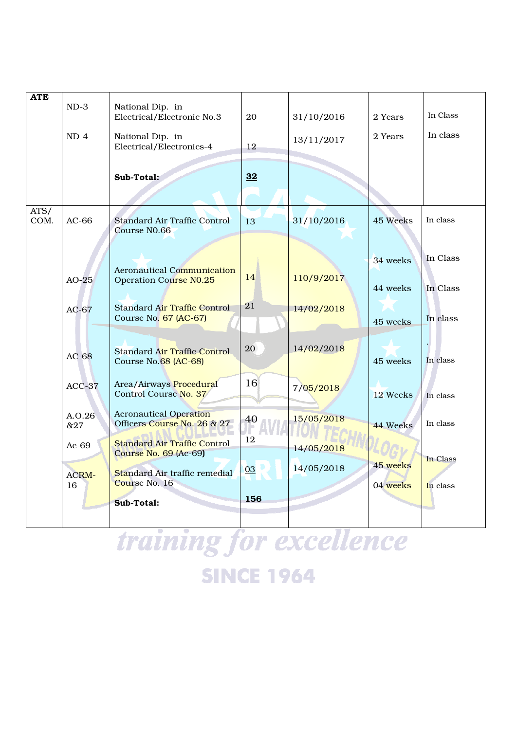| 2 Years  | In Class             |
|----------|----------------------|
| 2 Years  | In class             |
| 45 Weeks | In class             |
| 34 weeks | In Class             |
| 44 weeks | In Class             |
| 45 weeks | In class             |
| 45 weeks | In class             |
| 44 Weeks | In class<br>In class |
| 45 weeks | In Class             |
| 04 weeks | In class             |
|          | 12 Weeks             |

training for excellence **SINCE 1964**